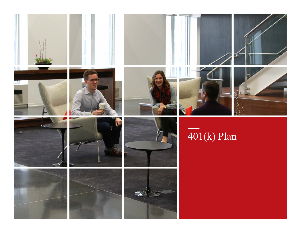